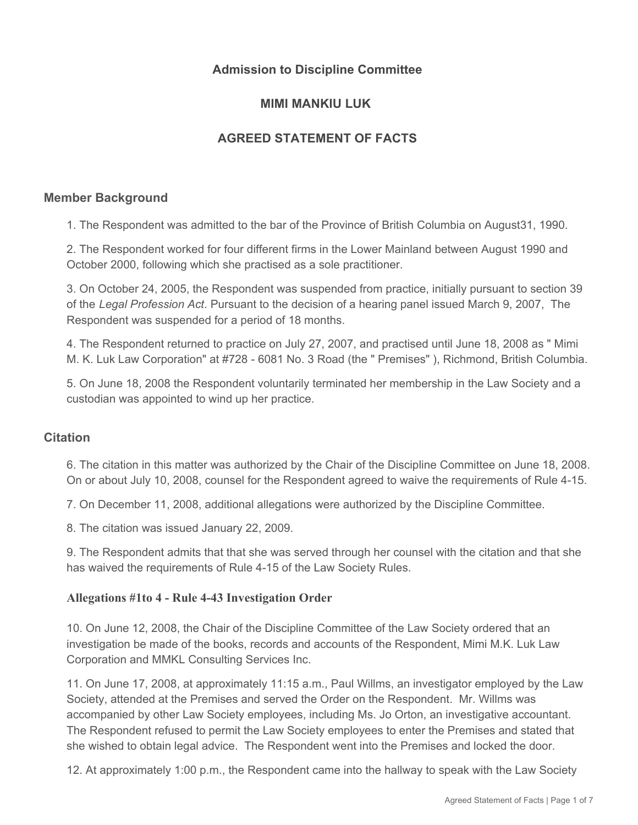## **Admission to Discipline Committee**

## **MIMI MANKIU LUK**

# **AGREED STATEMENT OF FACTS**

#### **Member Background**

1. The Respondent was admitted to the bar of the Province of British Columbia on August31, 1990.

2. The Respondent worked for four different firms in the Lower Mainland between August 1990 and October 2000, following which she practised as a sole practitioner.

3. On October 24, 2005, the Respondent was suspended from practice, initially pursuant to section 39 of the *Legal Profession Act*. Pursuant to the decision of a hearing panel issued March 9, 2007, The Respondent was suspended for a period of 18 months.

4. The Respondent returned to practice on July 27, 2007, and practised until June 18, 2008 as " Mimi M. K. Luk Law Corporation" at #728 - 6081 No. 3 Road (the " Premises" ), Richmond, British Columbia.

5. On June 18, 2008 the Respondent voluntarily terminated her membership in the Law Society and a custodian was appointed to wind up her practice.

#### **Citation**

6. The citation in this matter was authorized by the Chair of the Discipline Committee on June 18, 2008. On or about July 10, 2008, counsel for the Respondent agreed to waive the requirements of Rule 4-15.

7. On December 11, 2008, additional allegations were authorized by the Discipline Committee.

8. The citation was issued January 22, 2009.

9. The Respondent admits that that she was served through her counsel with the citation and that she has waived the requirements of Rule 4-15 of the Law Society Rules.

#### **Allegations #1to 4 - Rule 4-43 Investigation Order**

10. On June 12, 2008, the Chair of the Discipline Committee of the Law Society ordered that an investigation be made of the books, records and accounts of the Respondent, Mimi M.K. Luk Law Corporation and MMKL Consulting Services Inc.

11. On June 17, 2008, at approximately 11:15 a.m., Paul Willms, an investigator employed by the Law Society, attended at the Premises and served the Order on the Respondent. Mr. Willms was accompanied by other Law Society employees, including Ms. Jo Orton, an investigative accountant. The Respondent refused to permit the Law Society employees to enter the Premises and stated that she wished to obtain legal advice. The Respondent went into the Premises and locked the door.

12. At approximately 1:00 p.m., the Respondent came into the hallway to speak with the Law Society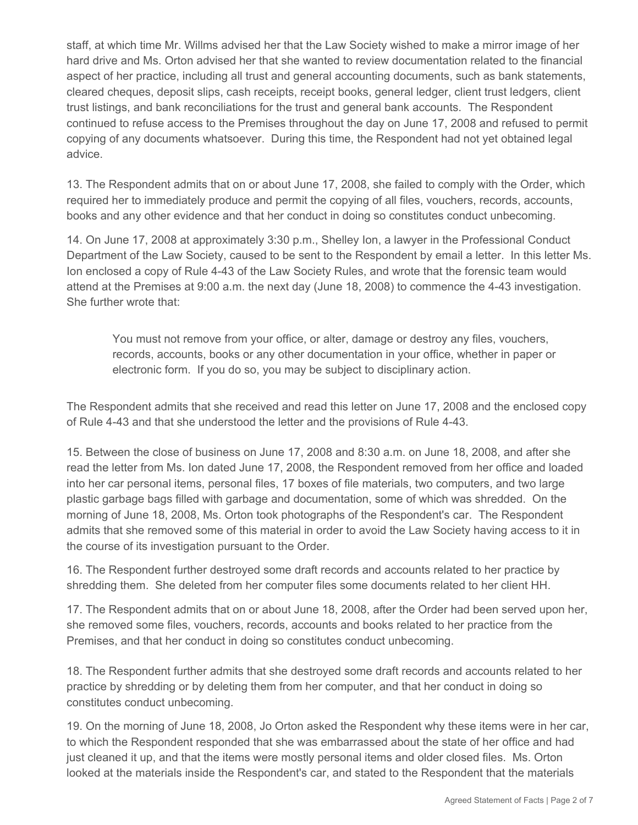staff, at which time Mr. Willms advised her that the Law Society wished to make a mirror image of her hard drive and Ms. Orton advised her that she wanted to review documentation related to the financial aspect of her practice, including all trust and general accounting documents, such as bank statements, cleared cheques, deposit slips, cash receipts, receipt books, general ledger, client trust ledgers, client trust listings, and bank reconciliations for the trust and general bank accounts. The Respondent continued to refuse access to the Premises throughout the day on June 17, 2008 and refused to permit copying of any documents whatsoever. During this time, the Respondent had not yet obtained legal advice.

13. The Respondent admits that on or about June 17, 2008, she failed to comply with the Order, which required her to immediately produce and permit the copying of all files, vouchers, records, accounts, books and any other evidence and that her conduct in doing so constitutes conduct unbecoming.

14. On June 17, 2008 at approximately 3:30 p.m., Shelley Ion, a lawyer in the Professional Conduct Department of the Law Society, caused to be sent to the Respondent by email a letter. In this letter Ms. Ion enclosed a copy of Rule 4-43 of the Law Society Rules, and wrote that the forensic team would attend at the Premises at 9:00 a.m. the next day (June 18, 2008) to commence the 4-43 investigation. She further wrote that:

You must not remove from your office, or alter, damage or destroy any files, vouchers, records, accounts, books or any other documentation in your office, whether in paper or electronic form. If you do so, you may be subject to disciplinary action.

The Respondent admits that she received and read this letter on June 17, 2008 and the enclosed copy of Rule 4-43 and that she understood the letter and the provisions of Rule 4-43.

15. Between the close of business on June 17, 2008 and 8:30 a.m. on June 18, 2008, and after she read the letter from Ms. Ion dated June 17, 2008, the Respondent removed from her office and loaded into her car personal items, personal files, 17 boxes of file materials, two computers, and two large plastic garbage bags filled with garbage and documentation, some of which was shredded. On the morning of June 18, 2008, Ms. Orton took photographs of the Respondent's car. The Respondent admits that she removed some of this material in order to avoid the Law Society having access to it in the course of its investigation pursuant to the Order.

16. The Respondent further destroyed some draft records and accounts related to her practice by shredding them. She deleted from her computer files some documents related to her client HH.

17. The Respondent admits that on or about June 18, 2008, after the Order had been served upon her, she removed some files, vouchers, records, accounts and books related to her practice from the Premises, and that her conduct in doing so constitutes conduct unbecoming.

18. The Respondent further admits that she destroyed some draft records and accounts related to her practice by shredding or by deleting them from her computer, and that her conduct in doing so constitutes conduct unbecoming.

19. On the morning of June 18, 2008, Jo Orton asked the Respondent why these items were in her car, to which the Respondent responded that she was embarrassed about the state of her office and had just cleaned it up, and that the items were mostly personal items and older closed files. Ms. Orton looked at the materials inside the Respondent's car, and stated to the Respondent that the materials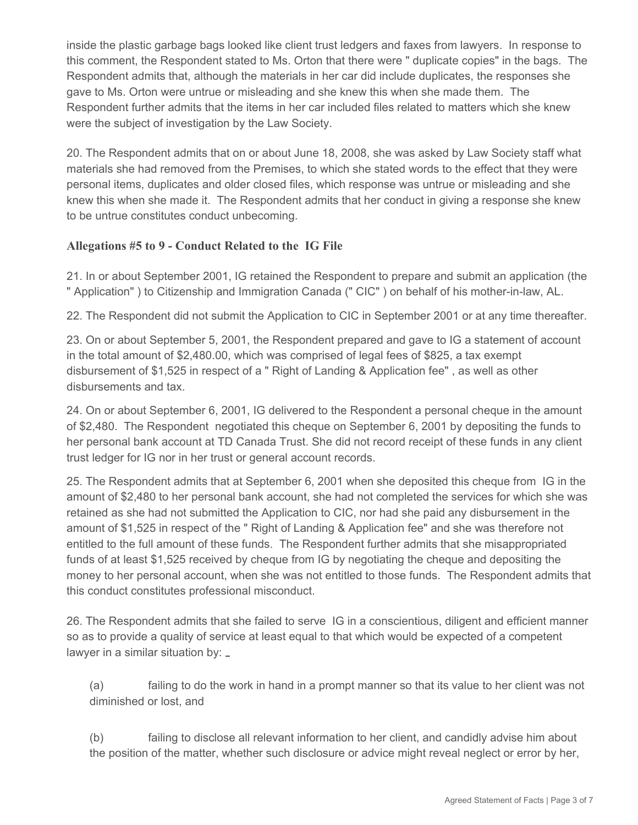inside the plastic garbage bags looked like client trust ledgers and faxes from lawyers. In response to this comment, the Respondent stated to Ms. Orton that there were " duplicate copies" in the bags. The Respondent admits that, although the materials in her car did include duplicates, the responses she gave to Ms. Orton were untrue or misleading and she knew this when she made them. The Respondent further admits that the items in her car included files related to matters which she knew were the subject of investigation by the Law Society.

20. The Respondent admits that on or about June 18, 2008, she was asked by Law Society staff what materials she had removed from the Premises, to which she stated words to the effect that they were personal items, duplicates and older closed files, which response was untrue or misleading and she knew this when she made it. The Respondent admits that her conduct in giving a response she knew to be untrue constitutes conduct unbecoming.

## **Allegations #5 to 9 - Conduct Related to the IG File**

21. In or about September 2001, IG retained the Respondent to prepare and submit an application (the " Application" ) to Citizenship and Immigration Canada (" CIC" ) on behalf of his mother-in-law, AL.

22. The Respondent did not submit the Application to CIC in September 2001 or at any time thereafter.

23. On or about September 5, 2001, the Respondent prepared and gave to IG a statement of account in the total amount of \$2,480.00, which was comprised of legal fees of \$825, a tax exempt disbursement of \$1,525 in respect of a " Right of Landing & Application fee" , as well as other disbursements and tax.

24. On or about September 6, 2001, IG delivered to the Respondent a personal cheque in the amount of \$2,480. The Respondent negotiated this cheque on September 6, 2001 by depositing the funds to her personal bank account at TD Canada Trust. She did not record receipt of these funds in any client trust ledger for IG nor in her trust or general account records.

25. The Respondent admits that at September 6, 2001 when she deposited this cheque from IG in the amount of \$2,480 to her personal bank account, she had not completed the services for which she was retained as she had not submitted the Application to CIC, nor had she paid any disbursement in the amount of \$1,525 in respect of the " Right of Landing & Application fee" and she was therefore not entitled to the full amount of these funds. The Respondent further admits that she misappropriated funds of at least \$1,525 received by cheque from IG by negotiating the cheque and depositing the money to her personal account, when she was not entitled to those funds. The Respondent admits that this conduct constitutes professional misconduct.

26. The Respondent admits that she failed to serve IG in a conscientious, diligent and efficient manner so as to provide a quality of service at least equal to that which would be expected of a competent lawyer in a similar situation by: \_

(a) failing to do the work in hand in a prompt manner so that its value to her client was not diminished or lost, and

(b) failing to disclose all relevant information to her client, and candidly advise him about the position of the matter, whether such disclosure or advice might reveal neglect or error by her,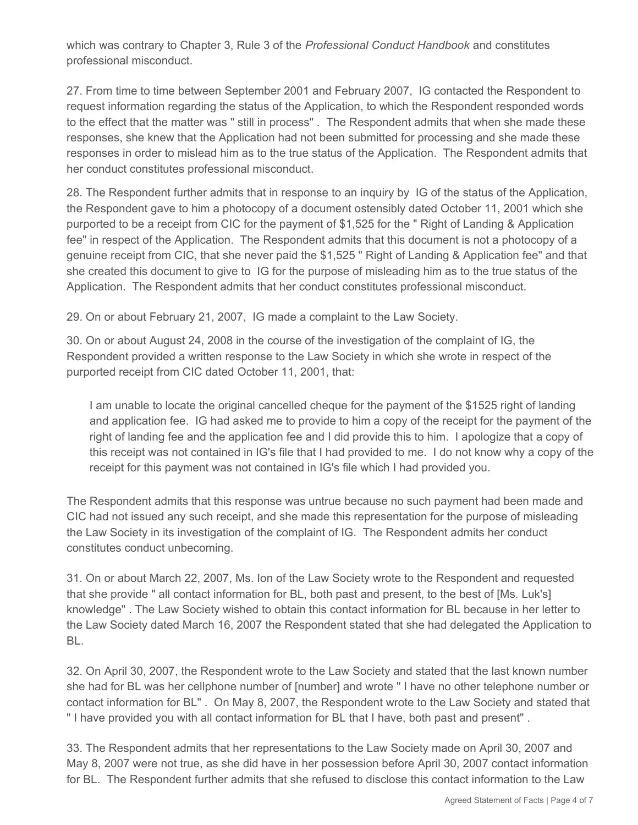which was contrary to Chapter 3, Rule 3 of the *Professional Conduct Handbook* and constitutes professional misconduct.

27. From time to time between September 2001 and February 2007, IG contacted the Respondent to request information regarding the status of the Application, to which the Respondent responded words to the effect that the matter was " still in process" . The Respondent admits that when she made these responses, she knew that the Application had not been submitted for processing and she made these responses in order to mislead him as to the true status of the Application. The Respondent admits that her conduct constitutes professional misconduct.

28. The Respondent further admits that in response to an inquiry by IG of the status of the Application, the Respondent gave to him a photocopy of a document ostensibly dated October 11, 2001 which she purported to be a receipt from CIC for the payment of \$1,525 for the " Right of Landing & Application fee" in respect of the Application. The Respondent admits that this document is not a photocopy of a genuine receipt from CIC, that she never paid the \$1,525 " Right of Landing & Application fee" and that she created this document to give to IG for the purpose of misleading him as to the true status of the Application. The Respondent admits that her conduct constitutes professional misconduct.

29. On or about February 21, 2007, IG made a complaint to the Law Society.

30. On or about August 24, 2008 in the course of the investigation of the complaint of IG, the Respondent provided a written response to the Law Society in which she wrote in respect of the purported receipt from CIC dated October 11, 2001, that:

I am unable to locate the original cancelled cheque for the payment of the \$1525 right of landing and application fee. IG had asked me to provide to him a copy of the receipt for the payment of the right of landing fee and the application fee and I did provide this to him. I apologize that a copy of this receipt was not contained in IG's file that I had provided to me. I do not know why a copy of the receipt for this payment was not contained in IG's file which I had provided you.

The Respondent admits that this response was untrue because no such payment had been made and CIC had not issued any such receipt, and she made this representation for the purpose of misleading the Law Society in its investigation of the complaint of IG. The Respondent admits her conduct constitutes conduct unbecoming.

31. On or about March 22, 2007, Ms. Ion of the Law Society wrote to the Respondent and requested that she provide " all contact information for BL, both past and present, to the best of [Ms. Luk's] knowledge" . The Law Society wished to obtain this contact information for BL because in her letter to the Law Society dated March 16, 2007 the Respondent stated that she had delegated the Application to BL.

32. On April 30, 2007, the Respondent wrote to the Law Society and stated that the last known number she had for BL was her cellphone number of [number] and wrote " I have no other telephone number or contact information for BL" . On May 8, 2007, the Respondent wrote to the Law Society and stated that " I have provided you with all contact information for BL that I have, both past and present" .

33. The Respondent admits that her representations to the Law Society made on April 30, 2007 and May 8, 2007 were not true, as she did have in her possession before April 30, 2007 contact information for BL. The Respondent further admits that she refused to disclose this contact information to the Law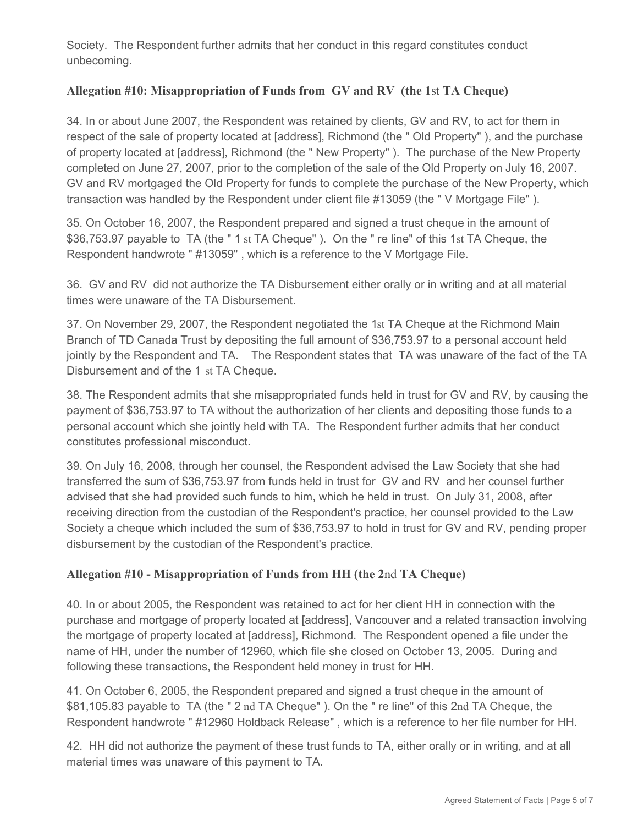Society. The Respondent further admits that her conduct in this regard constitutes conduct unbecoming.

# **Allegation #10: Misappropriation of Funds from GV and RV (the 1**st **TA Cheque)**

34. In or about June 2007, the Respondent was retained by clients, GV and RV, to act for them in respect of the sale of property located at [address], Richmond (the " Old Property" ), and the purchase of property located at [address], Richmond (the " New Property" ). The purchase of the New Property completed on June 27, 2007, prior to the completion of the sale of the Old Property on July 16, 2007. GV and RV mortgaged the Old Property for funds to complete the purchase of the New Property, which transaction was handled by the Respondent under client file #13059 (the " V Mortgage File" ).

35. On October 16, 2007, the Respondent prepared and signed a trust cheque in the amount of \$36,753.97 payable to TA (the " 1 st TA Cheque" ). On the " re line" of this 1st TA Cheque, the Respondent handwrote " #13059" , which is a reference to the V Mortgage File.

36. GV and RV did not authorize the TA Disbursement either orally or in writing and at all material times were unaware of the TA Disbursement.

37. On November 29, 2007, the Respondent negotiated the 1st TA Cheque at the Richmond Main Branch of TD Canada Trust by depositing the full amount of \$36,753.97 to a personal account held jointly by the Respondent and TA. The Respondent states that TA was unaware of the fact of the TA Disbursement and of the 1 st TA Cheque.

38. The Respondent admits that she misappropriated funds held in trust for GV and RV, by causing the payment of \$36,753.97 to TA without the authorization of her clients and depositing those funds to a personal account which she jointly held with TA. The Respondent further admits that her conduct constitutes professional misconduct.

39. On July 16, 2008, through her counsel, the Respondent advised the Law Society that she had transferred the sum of \$36,753.97 from funds held in trust for GV and RV and her counsel further advised that she had provided such funds to him, which he held in trust. On July 31, 2008, after receiving direction from the custodian of the Respondent's practice, her counsel provided to the Law Society a cheque which included the sum of \$36,753.97 to hold in trust for GV and RV, pending proper disbursement by the custodian of the Respondent's practice.

### **Allegation #10 - Misappropriation of Funds from HH (the 2**nd **TA Cheque)**

40. In or about 2005, the Respondent was retained to act for her client HH in connection with the purchase and mortgage of property located at [address], Vancouver and a related transaction involving the mortgage of property located at [address], Richmond. The Respondent opened a file under the name of HH, under the number of 12960, which file she closed on October 13, 2005. During and following these transactions, the Respondent held money in trust for HH.

41. On October 6, 2005, the Respondent prepared and signed a trust cheque in the amount of \$81,105.83 payable to TA (the " 2 nd TA Cheque" ). On the " re line" of this 2nd TA Cheque, the Respondent handwrote " #12960 Holdback Release" , which is a reference to her file number for HH.

42. HH did not authorize the payment of these trust funds to TA, either orally or in writing, and at all material times was unaware of this payment to TA.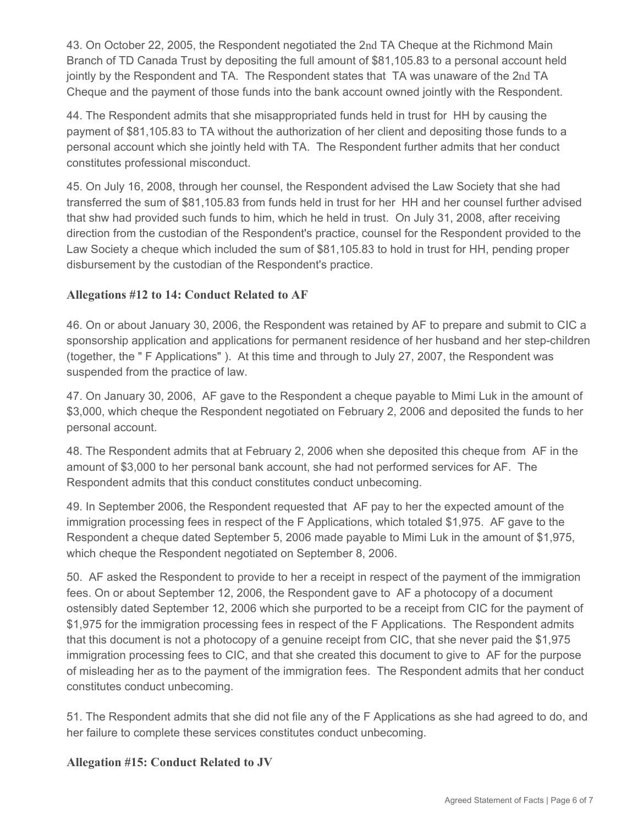43. On October 22, 2005, the Respondent negotiated the 2nd TA Cheque at the Richmond Main Branch of TD Canada Trust by depositing the full amount of \$81,105.83 to a personal account held jointly by the Respondent and TA. The Respondent states that TA was unaware of the 2nd TA Cheque and the payment of those funds into the bank account owned jointly with the Respondent.

44. The Respondent admits that she misappropriated funds held in trust for HH by causing the payment of \$81,105.83 to TA without the authorization of her client and depositing those funds to a personal account which she jointly held with TA. The Respondent further admits that her conduct constitutes professional misconduct.

45. On July 16, 2008, through her counsel, the Respondent advised the Law Society that she had transferred the sum of \$81,105.83 from funds held in trust for her HH and her counsel further advised that shw had provided such funds to him, which he held in trust. On July 31, 2008, after receiving direction from the custodian of the Respondent's practice, counsel for the Respondent provided to the Law Society a cheque which included the sum of \$81,105.83 to hold in trust for HH, pending proper disbursement by the custodian of the Respondent's practice.

# **Allegations #12 to 14: Conduct Related to AF**

46. On or about January 30, 2006, the Respondent was retained by AF to prepare and submit to CIC a sponsorship application and applications for permanent residence of her husband and her step-children (together, the " F Applications" ). At this time and through to July 27, 2007, the Respondent was suspended from the practice of law.

47. On January 30, 2006, AF gave to the Respondent a cheque payable to Mimi Luk in the amount of \$3,000, which cheque the Respondent negotiated on February 2, 2006 and deposited the funds to her personal account.

48. The Respondent admits that at February 2, 2006 when she deposited this cheque from AF in the amount of \$3,000 to her personal bank account, she had not performed services for AF. The Respondent admits that this conduct constitutes conduct unbecoming.

49. In September 2006, the Respondent requested that AF pay to her the expected amount of the immigration processing fees in respect of the F Applications, which totaled \$1,975. AF gave to the Respondent a cheque dated September 5, 2006 made payable to Mimi Luk in the amount of \$1,975, which cheque the Respondent negotiated on September 8, 2006.

50. AF asked the Respondent to provide to her a receipt in respect of the payment of the immigration fees. On or about September 12, 2006, the Respondent gave to AF a photocopy of a document ostensibly dated September 12, 2006 which she purported to be a receipt from CIC for the payment of \$1,975 for the immigration processing fees in respect of the F Applications. The Respondent admits that this document is not a photocopy of a genuine receipt from CIC, that she never paid the \$1,975 immigration processing fees to CIC, and that she created this document to give to AF for the purpose of misleading her as to the payment of the immigration fees. The Respondent admits that her conduct constitutes conduct unbecoming.

51. The Respondent admits that she did not file any of the F Applications as she had agreed to do, and her failure to complete these services constitutes conduct unbecoming.

### **Allegation #15: Conduct Related to JV**